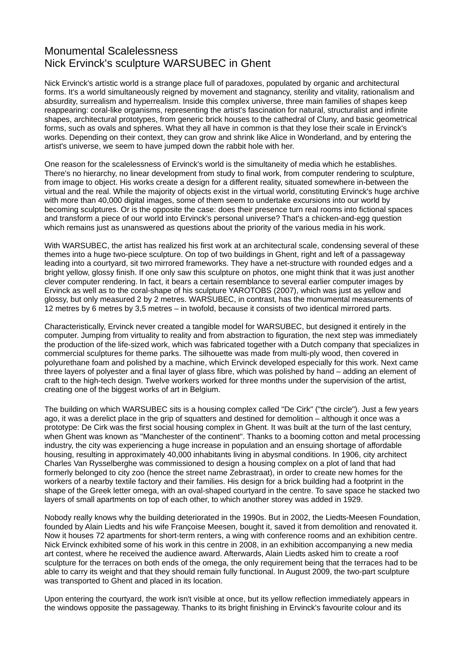## Monumental Scalelessness Nick Ervinck's sculpture WARSUBEC in Ghent

Nick Ervinck's artistic world is a strange place full of paradoxes, populated by organic and architectural forms. It's a world simultaneously reigned by movement and stagnancy, sterility and vitality, rationalism and absurdity, surrealism and hyperrealism. Inside this complex universe, three main families of shapes keep reappearing: coral-like organisms, representing the artist's fascination for natural, structuralist and infinite shapes, architectural prototypes, from generic brick houses to the cathedral of Cluny, and basic geometrical forms, such as ovals and spheres. What they all have in common is that they lose their scale in Ervinck's works. Depending on their context, they can grow and shrink like Alice in Wonderland, and by entering the artist's universe, we seem to have jumped down the rabbit hole with her.

One reason for the scalelessness of Ervinck's world is the simultaneity of media which he establishes. There's no hierarchy, no linear development from study to final work, from computer rendering to sculpture, from image to object. His works create a design for a different reality, situated somewhere in-between the virtual and the real. While the majority of objects exist in the virtual world, constituting Ervinck's huge archive with more than 40,000 digital images, some of them seem to undertake excursions into our world by becoming sculptures. Or is the opposite the case: does their presence turn real rooms into fictional spaces and transform a piece of our world into Ervinck's personal universe? That's a chicken-and-egg question which remains just as unanswered as questions about the priority of the various media in his work.

With WARSUBEC, the artist has realized his first work at an architectural scale, condensing several of these themes into a huge two-piece sculpture. On top of two buildings in Ghent, right and left of a passageway leading into a courtyard, sit two mirrored frameworks. They have a net-structure with rounded edges and a bright yellow, glossy finish. If one only saw this sculpture on photos, one might think that it was just another clever computer rendering. In fact, it bears a certain resemblance to several earlier computer images by Ervinck as well as to the coral-shape of his sculpture YAROTOBS (2007), which was just as yellow and glossy, but only measured 2 by 2 metres. WARSUBEC, in contrast, has the monumental measurements of 12 metres by 6 metres by 3,5 metres – in twofold, because it consists of two identical mirrored parts.

Characteristically, Ervinck never created a tangible model for WARSUBEC, but designed it entirely in the computer. Jumping from virtuality to reality and from abstraction to figuration, the next step was immediately the production of the life-sized work, which was fabricated together with a Dutch company that specializes in commercial sculptures for theme parks. The silhouette was made from multi-ply wood, then covered in polyurethane foam and polished by a machine, which Ervinck developed especially for this work. Next came three layers of polyester and a final layer of glass fibre, which was polished by hand – adding an element of craft to the high-tech design. Twelve workers worked for three months under the supervision of the artist, creating one of the biggest works of art in Belgium.

The building on which WARSUBEC sits is a housing complex called "De Cirk" ("the circle"). Just a few years ago, it was a derelict place in the grip of squatters and destined for demolition – although it once was a prototype: De Cirk was the first social housing complex in Ghent. It was built at the turn of the last century, when Ghent was known as "Manchester of the continent". Thanks to a booming cotton and metal processing industry, the city was experiencing a huge increase in population and an ensuing shortage of affordable housing, resulting in approximately 40,000 inhabitants living in abysmal conditions. In 1906, city architect Charles Van Rysselberghe was commissioned to design a housing complex on a plot of land that had formerly belonged to city zoo (hence the street name Zebrastraat), in order to create new homes for the workers of a nearby textile factory and their families. His design for a brick building had a footprint in the shape of the Greek letter omega, with an oval-shaped courtyard in the centre. To save space he stacked two layers of small apartments on top of each other, to which another storey was added in 1929.

Nobody really knows why the building deteriorated in the 1990s. But in 2002, the Liedts-Meesen Foundation, founded by Alain Liedts and his wife Françoise Meesen, bought it, saved it from demolition and renovated it. Now it houses 72 apartments for short-term renters, a wing with conference rooms and an exhibition centre. Nick Ervinck exhibited some of his work in this centre in 2008, in an exhibition accompanying a new media art contest, where he received the audience award. Afterwards, Alain Liedts asked him to create a roof sculpture for the terraces on both ends of the omega, the only requirement being that the terraces had to be able to carry its weight and that they should remain fully functional. In August 2009, the two-part sculpture was transported to Ghent and placed in its location.

Upon entering the courtyard, the work isn't visible at once, but its yellow reflection immediately appears in the windows opposite the passageway. Thanks to its bright finishing in Ervinck's favourite colour and its